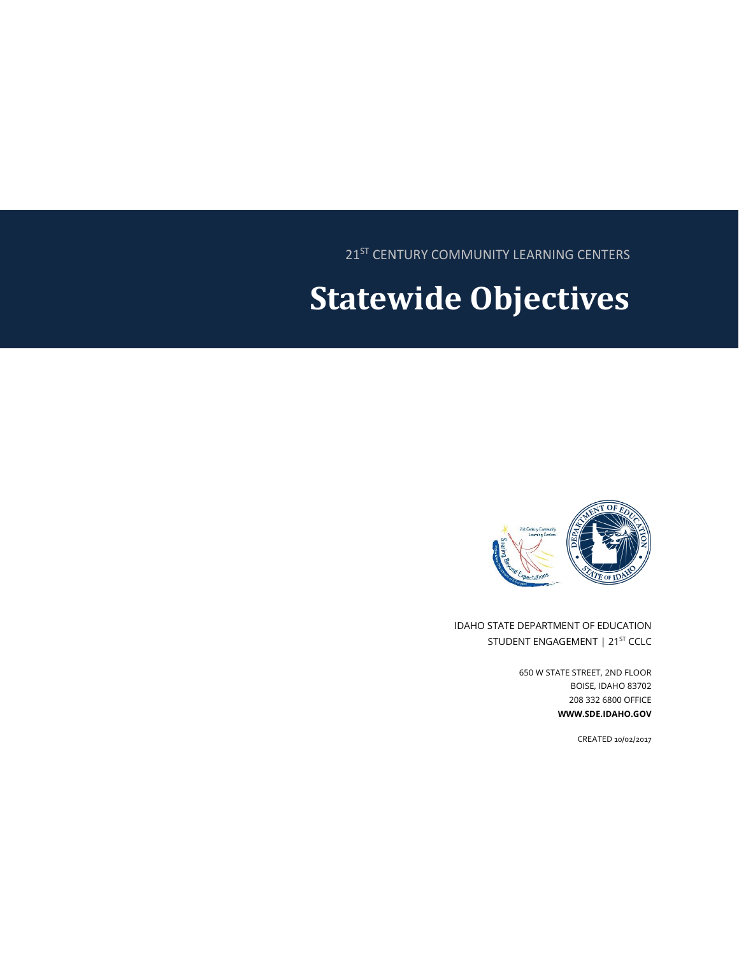21<sup>ST</sup> CENTURY COMMUNITY LEARNING CENTERS

# **Statewide Objectives**



IDAHO STATE DEPARTMENT OF EDUCATION STUDENT ENGAGEMENT | 21<sup>ST</sup> CCLC

> 650 W STATE STREET, 2ND FLOOR BOISE, IDAHO 83702 208 332 6800 OFFICE **WWW.SDE.IDAHO.GOV**

> > CREATED 10/02/2017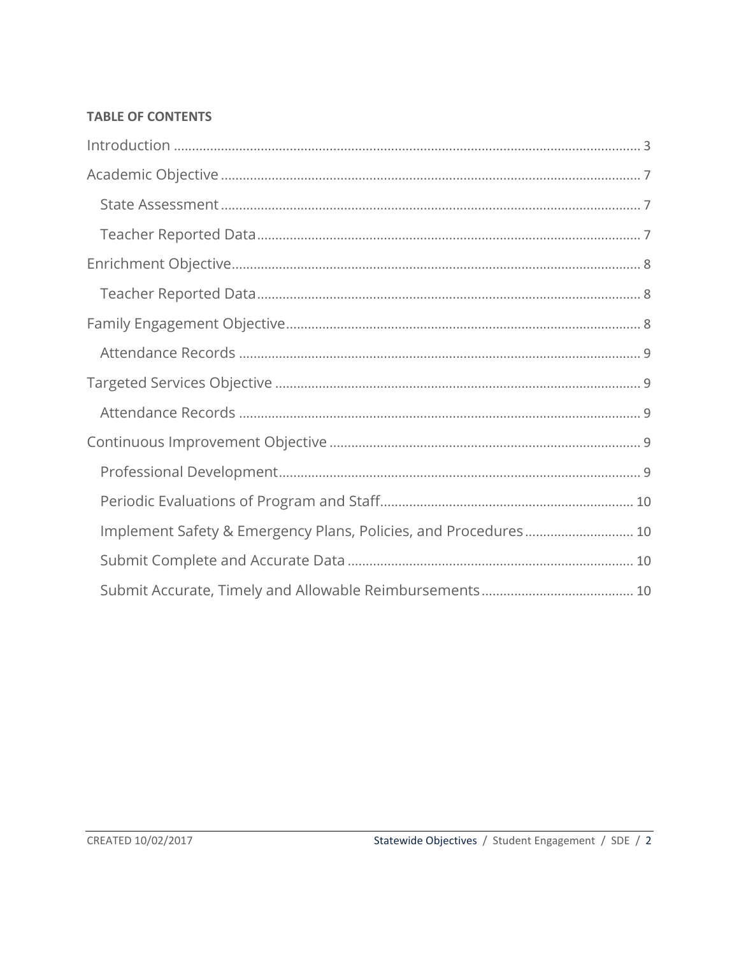#### **TABLE OF CONTENTS**

| Implement Safety & Emergency Plans, Policies, and Procedures 10 |  |
|-----------------------------------------------------------------|--|
|                                                                 |  |
|                                                                 |  |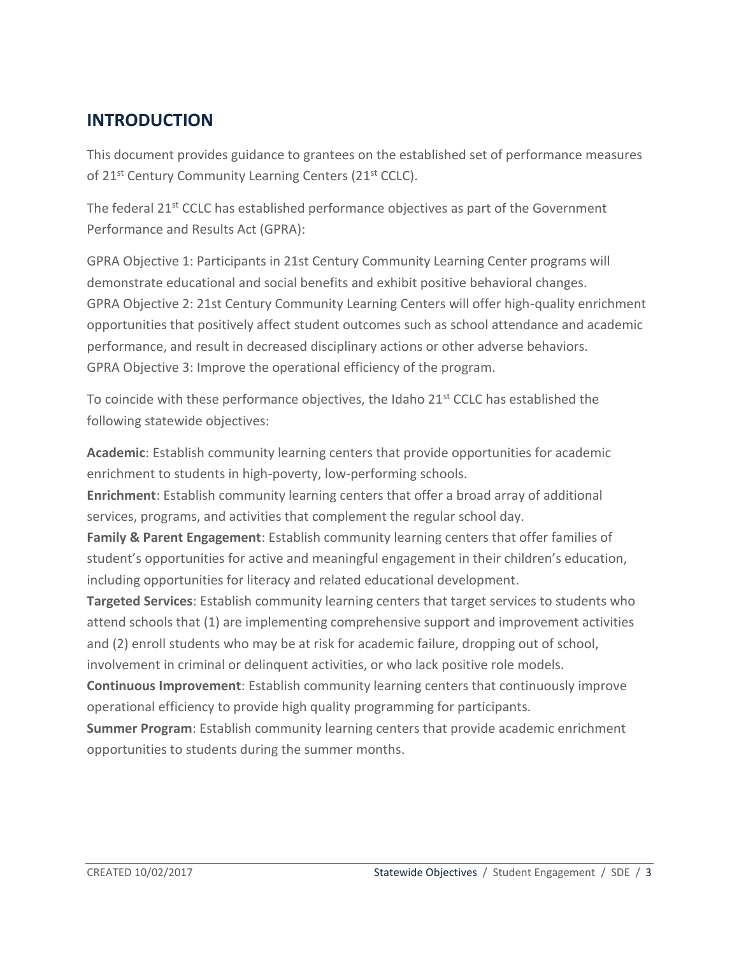## <span id="page-2-0"></span>**INTRODUCTION**

This document provides guidance to grantees on the established set of performance measures of 21<sup>st</sup> Century Community Learning Centers (21<sup>st</sup> CCLC).

The federal 21<sup>st</sup> CCLC has established performance objectives as part of the Government Performance and Results Act (GPRA):

GPRA Objective 1: Participants in 21st Century Community Learning Center programs will demonstrate educational and social benefits and exhibit positive behavioral changes. GPRA Objective 2: 21st Century Community Learning Centers will offer high-quality enrichment opportunities that positively affect student outcomes such as school attendance and academic performance, and result in decreased disciplinary actions or other adverse behaviors. GPRA Objective 3: Improve the operational efficiency of the program.

To coincide with these performance objectives, the Idaho  $21<sup>st</sup>$  CCLC has established the following statewide objectives:

**Academic**: Establish community learning centers that provide opportunities for academic enrichment to students in high-poverty, low-performing schools.

**Enrichment**: Establish community learning centers that offer a broad array of additional services, programs, and activities that complement the regular school day.

**Family & Parent Engagement**: Establish community learning centers that offer families of student's opportunities for active and meaningful engagement in their children's education, including opportunities for literacy and related educational development.

**Targeted Services**: Establish community learning centers that target services to students who attend schools that (1) are implementing comprehensive support and improvement activities and (2) enroll students who may be at risk for academic failure, dropping out of school, involvement in criminal or delinquent activities, or who lack positive role models.

**Continuous Improvement**: Establish community learning centers that continuously improve operational efficiency to provide high quality programming for participants.

**Summer Program**: Establish community learning centers that provide academic enrichment opportunities to students during the summer months.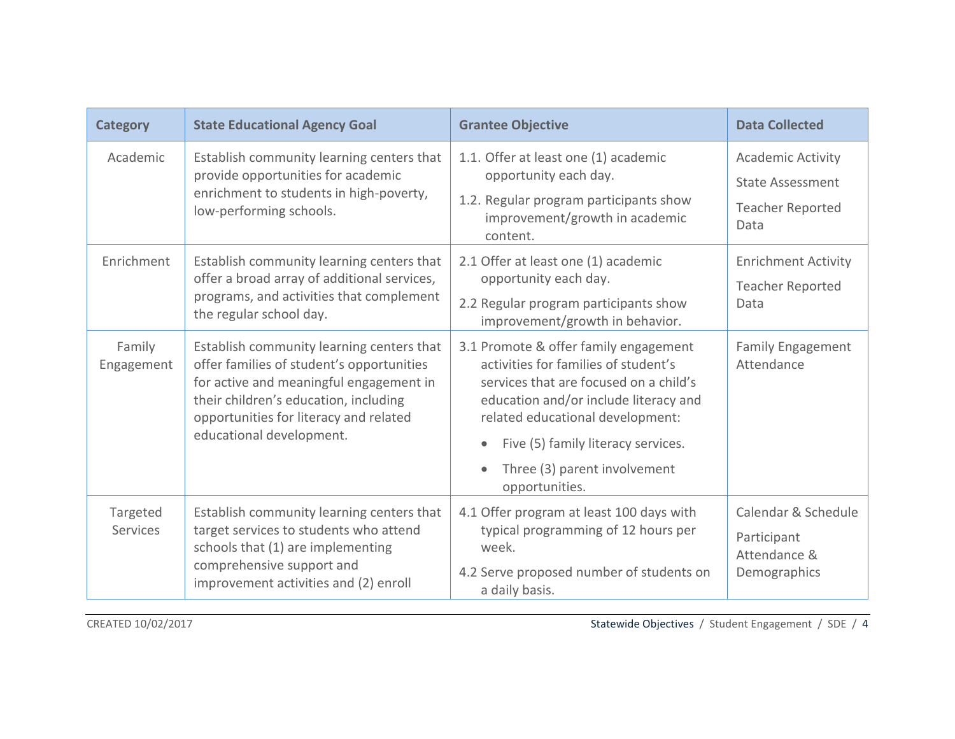| <b>Category</b>      | <b>State Educational Agency Goal</b>                                                                                                                                                                                                             | <b>Grantee Objective</b>                                                                                                                                                                                                                                                                     | <b>Data Collected</b>                                                                  |
|----------------------|--------------------------------------------------------------------------------------------------------------------------------------------------------------------------------------------------------------------------------------------------|----------------------------------------------------------------------------------------------------------------------------------------------------------------------------------------------------------------------------------------------------------------------------------------------|----------------------------------------------------------------------------------------|
| Academic             | Establish community learning centers that<br>provide opportunities for academic<br>enrichment to students in high-poverty,<br>low-performing schools.                                                                                            | 1.1. Offer at least one (1) academic<br>opportunity each day.<br>1.2. Regular program participants show<br>improvement/growth in academic<br>content.                                                                                                                                        | <b>Academic Activity</b><br><b>State Assessment</b><br><b>Teacher Reported</b><br>Data |
| Enrichment           | Establish community learning centers that<br>offer a broad array of additional services,<br>programs, and activities that complement<br>the regular school day.                                                                                  | 2.1 Offer at least one (1) academic<br>opportunity each day.<br>2.2 Regular program participants show<br>improvement/growth in behavior.                                                                                                                                                     | <b>Enrichment Activity</b><br><b>Teacher Reported</b><br>Data                          |
| Family<br>Engagement | Establish community learning centers that<br>offer families of student's opportunities<br>for active and meaningful engagement in<br>their children's education, including<br>opportunities for literacy and related<br>educational development. | 3.1 Promote & offer family engagement<br>activities for families of student's<br>services that are focused on a child's<br>education and/or include literacy and<br>related educational development:<br>Five (5) family literacy services.<br>Three (3) parent involvement<br>opportunities. | <b>Family Engagement</b><br>Attendance                                                 |
| Targeted<br>Services | Establish community learning centers that<br>target services to students who attend<br>schools that (1) are implementing<br>comprehensive support and<br>improvement activities and (2) enroll                                                   | 4.1 Offer program at least 100 days with<br>typical programming of 12 hours per<br>week.<br>4.2 Serve proposed number of students on<br>a daily basis.                                                                                                                                       | Calendar & Schedule<br>Participant<br>Attendance &<br>Demographics                     |

CREATED 10/02/2017 Statewide Objectives / Student Engagement / SDE / 4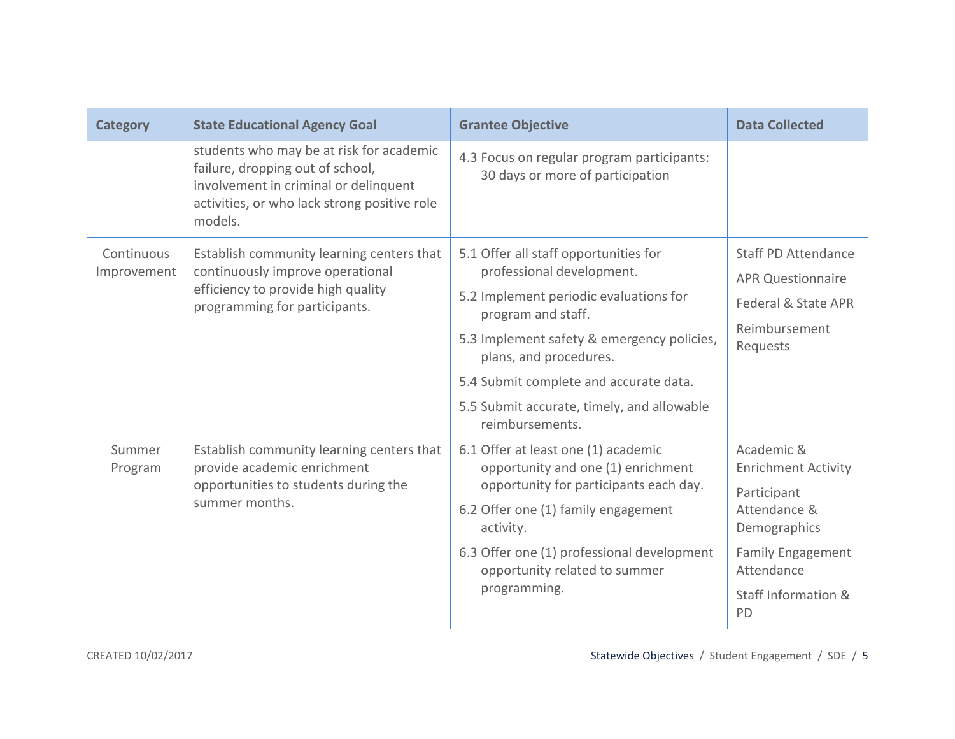| <b>Category</b>           | <b>State Educational Agency Goal</b>                                                                                                                                             | <b>Grantee Objective</b>                                                                                                                                                                                                                                                                                              | <b>Data Collected</b>                                                                                                                                          |
|---------------------------|----------------------------------------------------------------------------------------------------------------------------------------------------------------------------------|-----------------------------------------------------------------------------------------------------------------------------------------------------------------------------------------------------------------------------------------------------------------------------------------------------------------------|----------------------------------------------------------------------------------------------------------------------------------------------------------------|
|                           | students who may be at risk for academic<br>failure, dropping out of school,<br>involvement in criminal or delinquent<br>activities, or who lack strong positive role<br>models. | 4.3 Focus on regular program participants:<br>30 days or more of participation                                                                                                                                                                                                                                        |                                                                                                                                                                |
| Continuous<br>Improvement | Establish community learning centers that<br>continuously improve operational<br>efficiency to provide high quality<br>programming for participants.                             | 5.1 Offer all staff opportunities for<br>professional development.<br>5.2 Implement periodic evaluations for<br>program and staff.<br>5.3 Implement safety & emergency policies,<br>plans, and procedures.<br>5.4 Submit complete and accurate data.<br>5.5 Submit accurate, timely, and allowable<br>reimbursements. | <b>Staff PD Attendance</b><br><b>APR Questionnaire</b><br>Federal & State APR<br>Reimbursement<br>Requests                                                     |
| Summer<br>Program         | Establish community learning centers that<br>provide academic enrichment<br>opportunities to students during the<br>summer months.                                               | 6.1 Offer at least one (1) academic<br>opportunity and one (1) enrichment<br>opportunity for participants each day.<br>6.2 Offer one (1) family engagement<br>activity.<br>6.3 Offer one (1) professional development<br>opportunity related to summer<br>programming.                                                | Academic &<br><b>Enrichment Activity</b><br>Participant<br>Attendance &<br>Demographics<br><b>Family Engagement</b><br>Attendance<br>Staff Information &<br>PD |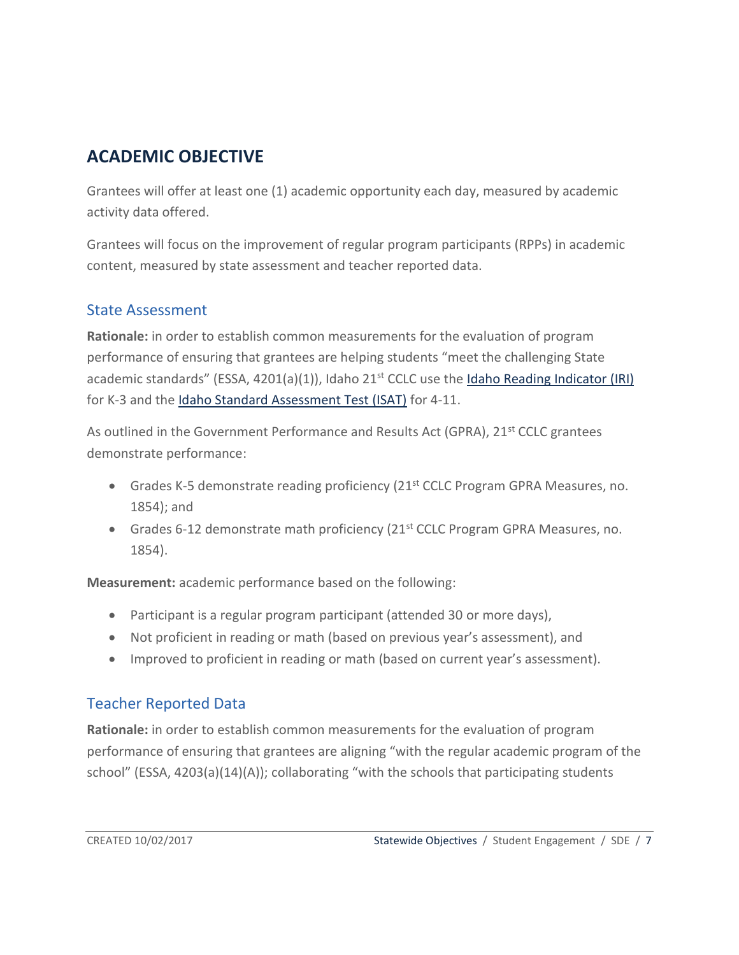## <span id="page-6-0"></span>**ACADEMIC OBJECTIVE**

Grantees will offer at least one (1) academic opportunity each day, measured by academic activity data offered.

Grantees will focus on the improvement of regular program participants (RPPs) in academic content, measured by state assessment and teacher reported data.

#### <span id="page-6-1"></span>State Assessment

**Rationale:** in order to establish common measurements for the evaluation of program performance of ensuring that grantees are helping students "meet the challenging State academic standards" (ESSA,  $4201(a)(1)$ ), Idaho  $21<sup>st</sup>$  CCLC use th[e Idaho Reading Indicator \(IRI\)](http://www.sde.idaho.gov/assessment/iri/) for K-3 and th[e Idaho Standard Assessment Test \(ISAT\)](http://www.sde.idaho.gov/assessment/isat-cas/) for 4-11.

As outlined in the Government Performance and Results Act (GPRA), 21<sup>st</sup> CCLC grantees demonstrate performance:

- Grades K-5 demonstrate reading proficiency (21<sup>st</sup> CCLC Program GPRA Measures, no. 1854); and
- Grades 6-12 demonstrate math proficiency  $(21^{st}$  CCLC Program GPRA Measures, no. 1854).

**Measurement:** academic performance based on the following:

- Participant is a regular program participant (attended 30 or more days),
- Not proficient in reading or math (based on previous year's assessment), and
- Improved to proficient in reading or math (based on current year's assessment).

#### <span id="page-6-2"></span>Teacher Reported Data

**Rationale:** in order to establish common measurements for the evaluation of program performance of ensuring that grantees are aligning "with the regular academic program of the school" (ESSA, 4203(a)(14)(A)); collaborating "with the schools that participating students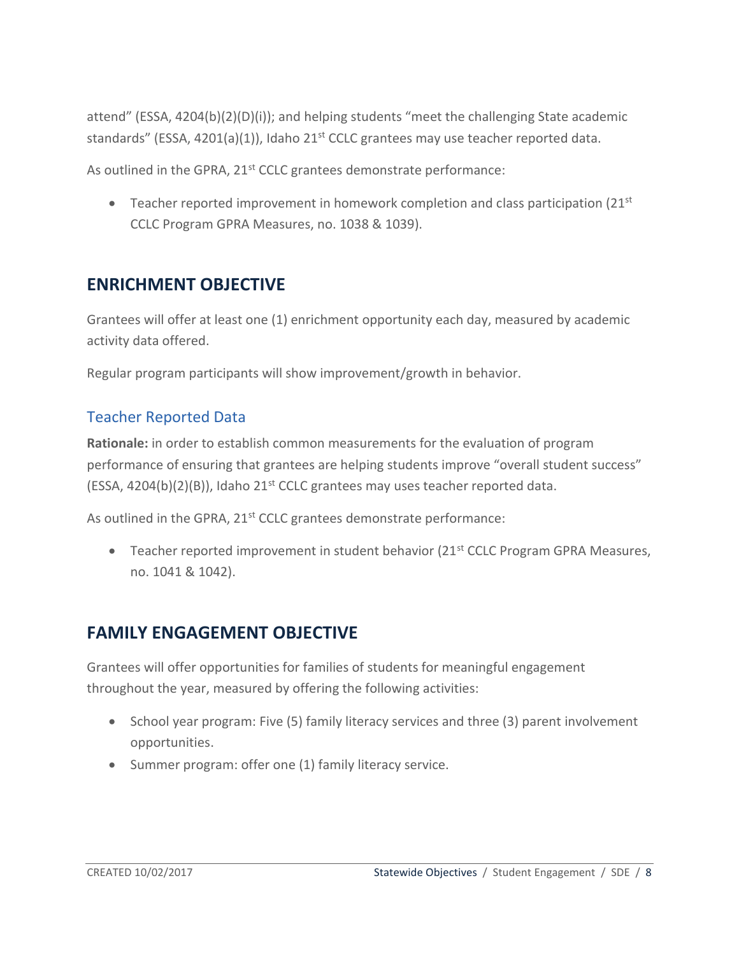attend" (ESSA, 4204(b)(2)(D)(i)); and helping students "meet the challenging State academic standards" (ESSA, 4201(a)(1)), Idaho 21 $<sup>st</sup>$  CCLC grantees may use teacher reported data.</sup>

As outlined in the GPRA, 21<sup>st</sup> CCLC grantees demonstrate performance:

**•** Teacher reported improvement in homework completion and class participation (21st) CCLC Program GPRA Measures, no. 1038 & 1039).

### <span id="page-7-0"></span>**ENRICHMENT OBJECTIVE**

Grantees will offer at least one (1) enrichment opportunity each day, measured by academic activity data offered.

Regular program participants will show improvement/growth in behavior.

#### <span id="page-7-1"></span>Teacher Reported Data

**Rationale:** in order to establish common measurements for the evaluation of program performance of ensuring that grantees are helping students improve "overall student success" (ESSA,  $4204(b)(2)(B)$ ), Idaho  $21^{st}$  CCLC grantees may uses teacher reported data.

As outlined in the GPRA, 21<sup>st</sup> CCLC grantees demonstrate performance:

• Teacher reported improvement in student behavior  $(21<sup>st</sup> CCLC Program GPRA Measures,$ no. 1041 & 1042).

## <span id="page-7-2"></span>**FAMILY ENGAGEMENT OBJECTIVE**

Grantees will offer opportunities for families of students for meaningful engagement throughout the year, measured by offering the following activities:

- School year program: Five (5) family literacy services and three (3) parent involvement opportunities.
- Summer program: offer one (1) family literacy service.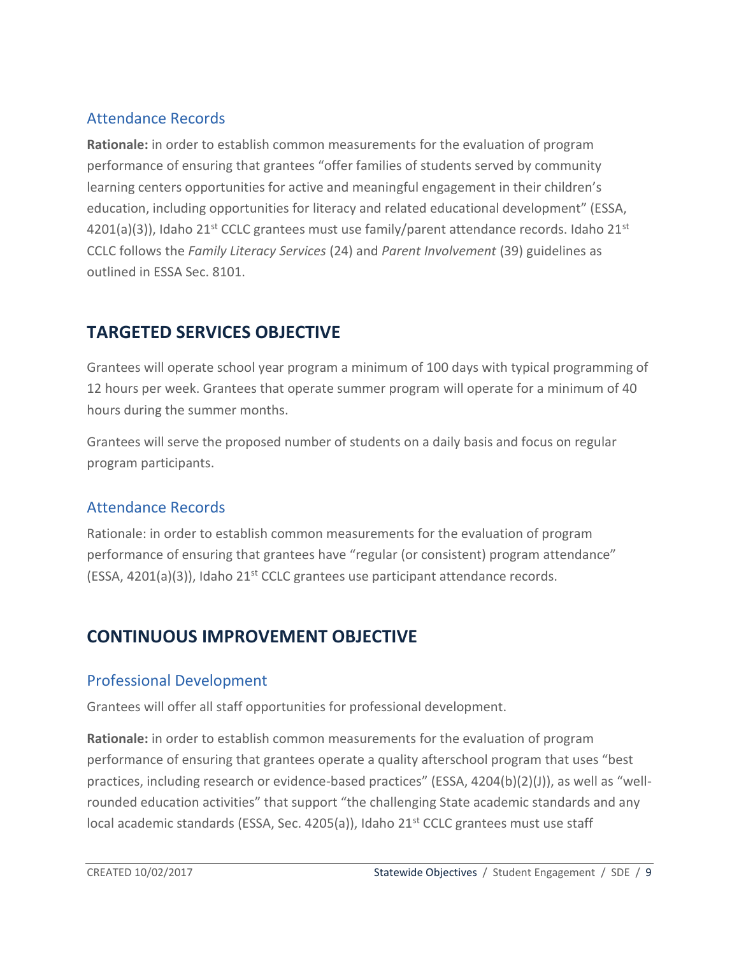#### <span id="page-8-0"></span>Attendance Records

**Rationale:** in order to establish common measurements for the evaluation of program performance of ensuring that grantees "offer families of students served by community learning centers opportunities for active and meaningful engagement in their children's education, including opportunities for literacy and related educational development" (ESSA, 4201(a)(3)), Idaho 21<sup>st</sup> CCLC grantees must use family/parent attendance records. Idaho 21<sup>st</sup> CCLC follows the *Family Literacy Services* (24) and *Parent Involvement* (39) guidelines as outlined in ESSA Sec. 8101.

## <span id="page-8-1"></span>**TARGETED SERVICES OBJECTIVE**

Grantees will operate school year program a minimum of 100 days with typical programming of 12 hours per week. Grantees that operate summer program will operate for a minimum of 40 hours during the summer months.

Grantees will serve the proposed number of students on a daily basis and focus on regular program participants.

#### <span id="page-8-2"></span>Attendance Records

Rationale: in order to establish common measurements for the evaluation of program performance of ensuring that grantees have "regular (or consistent) program attendance" (ESSA, 4201(a)(3)), Idaho 21<sup>st</sup> CCLC grantees use participant attendance records.

## <span id="page-8-3"></span>**CONTINUOUS IMPROVEMENT OBJECTIVE**

#### <span id="page-8-4"></span>Professional Development

Grantees will offer all staff opportunities for professional development.

**Rationale:** in order to establish common measurements for the evaluation of program performance of ensuring that grantees operate a quality afterschool program that uses "best practices, including research or evidence-based practices" (ESSA, 4204(b)(2)(J)), as well as "wellrounded education activities" that support "the challenging State academic standards and any local academic standards (ESSA, Sec. 4205(a)), Idaho 21<sup>st</sup> CCLC grantees must use staff